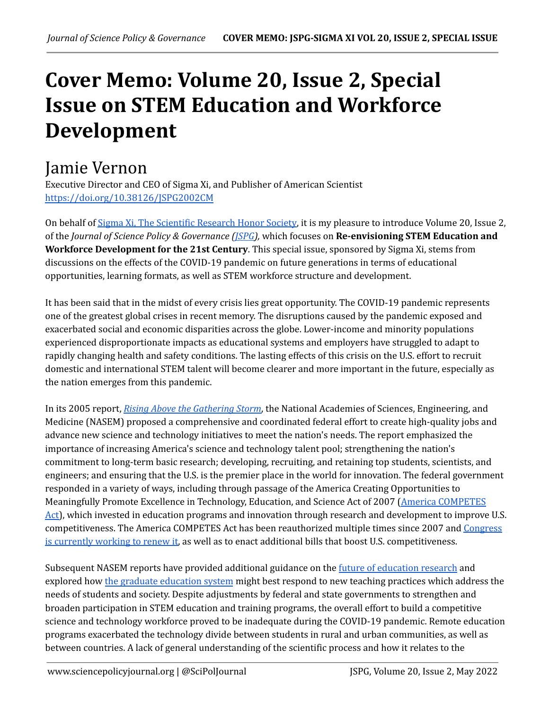## **Cover Memo: Volume 20, Issue 2, Special Issue on STEM Education and Workforce Development**

## Jamie Vernon

Executive Director and CEO of Sigma Xi, and Publisher of American Scientist <https://doi.org/10.38126/JSPG2002CM>

On behalf of Sigma Xi, The [Scientific](https://www.sigmaxi.org/) Research Honor Society, it is my pleasure to introduce Volume 20, Issue 2, of the *Journal of Science Policy & Governance [\(JSPG\)](https://www.sciencepolicyjournal.org/),* which focuses on **Re-envisioning STEM Education and Workforce Development for the 21st Century**. This special issue, sponsored by Sigma Xi, stems from discussions on the effects of the COVID-19 pandemic on future generations in terms of educational opportunities, learning formats, as well as STEM workforce structure and development.

It has been said that in the midst of every crisis lies great opportunity. The COVID-19 pandemic represents one of the greatest global crises in recent memory. The disruptions caused by the pandemic exposed and exacerbated social and economic disparities across the globe. Lower-income and minority populations experienced disproportionate impacts as educational systems and employers have struggled to adapt to rapidly changing health and safety conditions. The lasting effects of this crisis on the U.S. effort to recruit domestic and international STEM talent will become clearer and more important in the future, especially as the nation emerges from this pandemic.

In its 2005 report, *Rising Above the [Gathering](https://nap.nationalacademies.org/catalog/11463/rising-above-the-gathering-storm-energizing-and-employing-america-for) Storm*, the National Academies of Sciences, Engineering, and Medicine (NASEM) proposed a comprehensive and coordinated federal effort to create high-quality jobs and advance new science and technology initiatives to meet the nation's needs. The report emphasized the importance of increasing America's science and technology talent pool; strengthening the nation's commitment to long-term basic research; developing, recruiting, and retaining top students, scientists, and engineers; and ensuring that the U.S. is the premier place in the world for innovation. The federal government responded in a variety of ways, including through passage of the America Creating Opportunities to Meaningfully Promote Excellence in Technology, Education, and Science Act of 2007 (America [COMPETES](https://www.congress.gov/bill/110th-congress/house-bill/2272) [Act\)](https://www.congress.gov/bill/110th-congress/house-bill/2272), which invested in education programs and innovation through research and development to improve U.S. competitiveness. The America COMPETES Act has been reauthorized multiple times since 2007 and [Congress](https://www.aip.org/fyi/2022/house-passes-competes-act-setting-negotiations-senate) is [currently](https://www.aip.org/fyi/2022/house-passes-competes-act-setting-negotiations-senate) working to renew it, as well as to enact additional bills that boost U.S. competitiveness.

Subsequent NASEM reports have provided additional guidance on the <u>future of [education](https://nap.nationalacademies.org/catalog/26428/the-future-of-education-research-at-ies-advancing-an-equity) research</u> and explored how the graduate [education](https://www.nationalacademies.org/our-work/reshaping-graduate-stem-education-for-the-21st-century) system might best respond to new teaching practices which address the needs of students and society. Despite adjustments by federal and state governments to strengthen and broaden participation in STEM education and training programs, the overall effort to build a competitive science and technology workforce proved to be inadequate during the COVID-19 pandemic. Remote education programs exacerbated the technology divide between students in rural and urban communities, as well as between countries. A lack of general understanding of the scientific process and how it relates to the